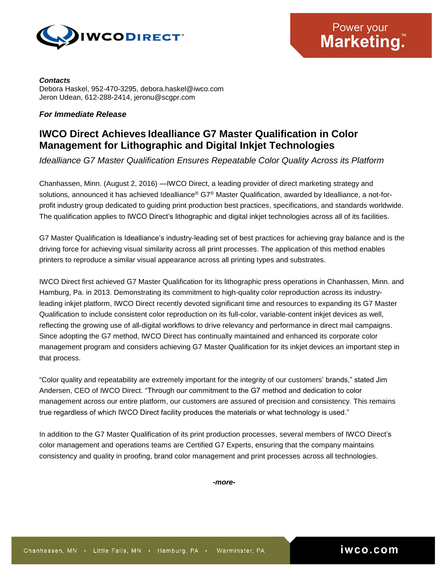

*Contacts* Debora Haskel, 952-470-3295, debora.haskel@iwco.com Jeron Udean, 612-288-2414, jeronu@scgpr.com

## *For Immediate Release*

## **IWCO Direct Achieves Idealliance G7 Master Qualification in Color Management for Lithographic and Digital Inkjet Technologies**

*Idealliance G7 Master Qualification Ensures Repeatable Color Quality Across its Platform*

Chanhassen, Minn. (August 2, 2016) —IWCO Direct, a leading provider of direct marketing strategy and solutions, announced it has achieved Idealliance® G7® Master Qualification, awarded by Idealliance, a not-forprofit industry group dedicated to guiding print production best practices, specifications, and standards worldwide. The qualification applies to IWCO Direct's lithographic and digital inkjet technologies across all of its facilities.

G7 Master Qualification is Idealliance's industry-leading set of best practices for achieving gray balance and is the driving force for achieving visual similarity across all print processes. The application of this method enables printers to reproduce a similar visual appearance across all printing types and substrates.

IWCO Direct first achieved G7 Master Qualification for its lithographic press operations in Chanhassen, Minn. and Hamburg, Pa. in 2013. Demonstrating its commitment to high-quality color reproduction across its industryleading inkjet platform, IWCO Direct recently devoted significant time and resources to expanding its G7 Master Qualification to include consistent color reproduction on its full-color, variable-content inkjet devices as well, reflecting the growing use of all-digital workflows to drive relevancy and performance in direct mail campaigns. Since adopting the G7 method, IWCO Direct has continually maintained and enhanced its corporate color management program and considers achieving G7 Master Qualification for its inkjet devices an important step in that process.

"Color quality and repeatability are extremely important for the integrity of our customers' brands," stated Jim Andersen, CEO of IWCO Direct. "Through our commitment to the G7 method and dedication to color management across our entire platform, our customers are assured of precision and consistency. This remains true regardless of which IWCO Direct facility produces the materials or what technology is used."

In addition to the G7 Master Qualification of its print production processes, several members of IWCO Direct's color management and operations teams are Certified G7 Experts, ensuring that the company maintains consistency and quality in proofing, brand color management and print processes across all technologies.

*-more-*